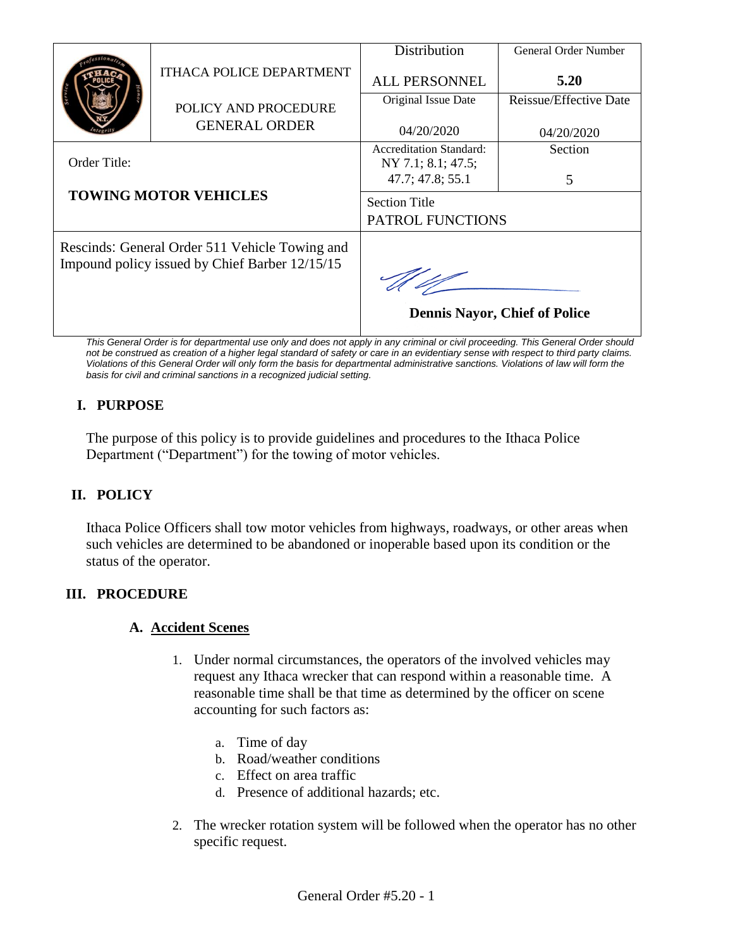|                                                                                                  | <b>ITHACA POLICE DEPARTMENT</b> | Distribution                                         | <b>General Order Number</b> |
|--------------------------------------------------------------------------------------------------|---------------------------------|------------------------------------------------------|-----------------------------|
|                                                                                                  |                                 | <b>ALL PERSONNEL</b>                                 | 5.20                        |
|                                                                                                  | POLICY AND PROCEDURE            | Original Issue Date                                  | Reissue/Effective Date      |
|                                                                                                  | <b>GENERAL ORDER</b>            | 04/20/2020                                           | 04/20/2020                  |
| Order Title:<br><b>TOWING MOTOR VEHICLES</b>                                                     |                                 | <b>Accreditation Standard:</b><br>NY 7.1; 8.1; 47.5; | Section                     |
|                                                                                                  |                                 | 47.7; 47.8; 55.1                                     | 5                           |
|                                                                                                  |                                 | <b>Section Title</b><br>PATROL FUNCTIONS             |                             |
| Rescinds: General Order 511 Vehicle Towing and<br>Impound policy issued by Chief Barber 12/15/15 |                                 |                                                      |                             |
|                                                                                                  |                                 | <b>Dennis Nayor, Chief of Police</b>                 |                             |
|                                                                                                  |                                 |                                                      |                             |

*This General Order is for departmental use only and does not apply in any criminal or civil proceeding. This General Order should not be construed as creation of a higher legal standard of safety or care in an evidentiary sense with respect to third party claims. Violations of this General Order will only form the basis for departmental administrative sanctions. Violations of law will form the basis for civil and criminal sanctions in a recognized judicial setting.*

# **I. PURPOSE**

The purpose of this policy is to provide guidelines and procedures to the Ithaca Police Department ("Department") for the towing of motor vehicles.

# **II. POLICY**

Ithaca Police Officers shall tow motor vehicles from highways, roadways, or other areas when such vehicles are determined to be abandoned or inoperable based upon its condition or the status of the operator.

# **III. PROCEDURE**

# **A. Accident Scenes**

- 1. Under normal circumstances, the operators of the involved vehicles may request any Ithaca wrecker that can respond within a reasonable time. A reasonable time shall be that time as determined by the officer on scene accounting for such factors as:
	- a. Time of day
	- b. Road/weather conditions
	- c. Effect on area traffic
	- d. Presence of additional hazards; etc.
- 2. The wrecker rotation system will be followed when the operator has no other specific request.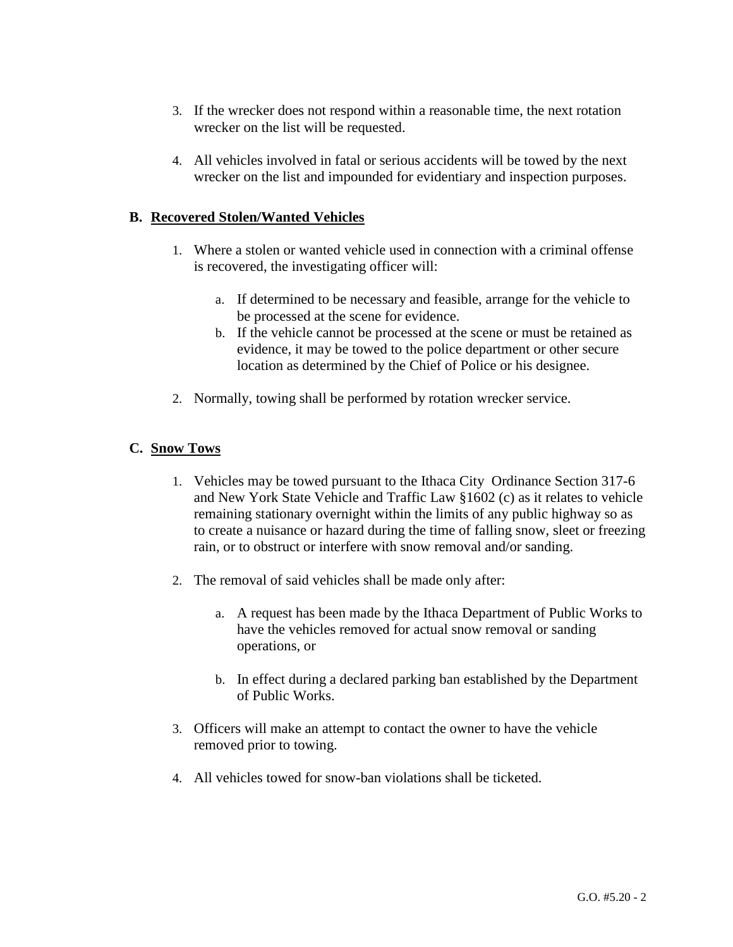- 3. If the wrecker does not respond within a reasonable time, the next rotation wrecker on the list will be requested.
- 4. All vehicles involved in fatal or serious accidents will be towed by the next wrecker on the list and impounded for evidentiary and inspection purposes.

#### **B. Recovered Stolen/Wanted Vehicles**

- 1. Where a stolen or wanted vehicle used in connection with a criminal offense is recovered, the investigating officer will:
	- a. If determined to be necessary and feasible, arrange for the vehicle to be processed at the scene for evidence.
	- b. If the vehicle cannot be processed at the scene or must be retained as evidence, it may be towed to the police department or other secure location as determined by the Chief of Police or his designee.
- 2. Normally, towing shall be performed by rotation wrecker service.

### **C. Snow Tows**

- 1. Vehicles may be towed pursuant to the Ithaca City Ordinance Section 317-6 and New York State Vehicle and Traffic Law §1602 (c) as it relates to vehicle remaining stationary overnight within the limits of any public highway so as to create a nuisance or hazard during the time of falling snow, sleet or freezing rain, or to obstruct or interfere with snow removal and/or sanding.
- 2. The removal of said vehicles shall be made only after:
	- a. A request has been made by the Ithaca Department of Public Works to have the vehicles removed for actual snow removal or sanding operations, or
	- b. In effect during a declared parking ban established by the Department of Public Works.
- 3. Officers will make an attempt to contact the owner to have the vehicle removed prior to towing.
- 4. All vehicles towed for snow-ban violations shall be ticketed.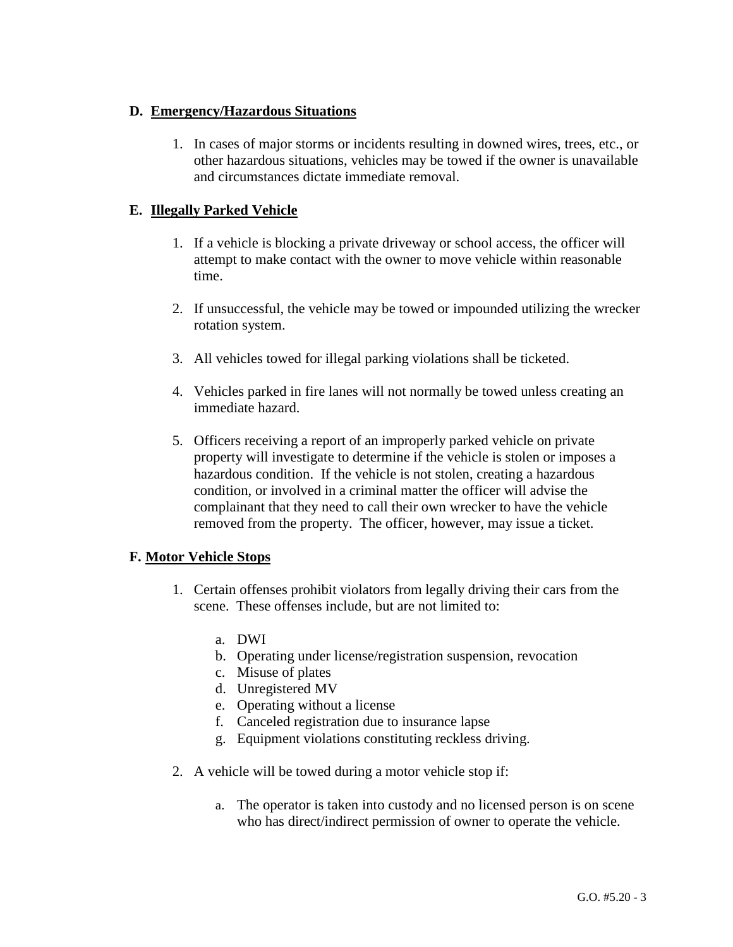### **D. Emergency/Hazardous Situations**

1. In cases of major storms or incidents resulting in downed wires, trees, etc., or other hazardous situations, vehicles may be towed if the owner is unavailable and circumstances dictate immediate removal.

### **E. Illegally Parked Vehicle**

- 1. If a vehicle is blocking a private driveway or school access, the officer will attempt to make contact with the owner to move vehicle within reasonable time.
- 2. If unsuccessful, the vehicle may be towed or impounded utilizing the wrecker rotation system.
- 3. All vehicles towed for illegal parking violations shall be ticketed.
- 4. Vehicles parked in fire lanes will not normally be towed unless creating an immediate hazard.
- 5. Officers receiving a report of an improperly parked vehicle on private property will investigate to determine if the vehicle is stolen or imposes a hazardous condition. If the vehicle is not stolen, creating a hazardous condition, or involved in a criminal matter the officer will advise the complainant that they need to call their own wrecker to have the vehicle removed from the property. The officer, however, may issue a ticket.

# **F. Motor Vehicle Stops**

- 1. Certain offenses prohibit violators from legally driving their cars from the scene. These offenses include, but are not limited to:
	- a. DWI
	- b. Operating under license/registration suspension, revocation
	- c. Misuse of plates
	- d. Unregistered MV
	- e. Operating without a license
	- f. Canceled registration due to insurance lapse
	- g. Equipment violations constituting reckless driving.
- 2. A vehicle will be towed during a motor vehicle stop if:
	- a. The operator is taken into custody and no licensed person is on scene who has direct/indirect permission of owner to operate the vehicle.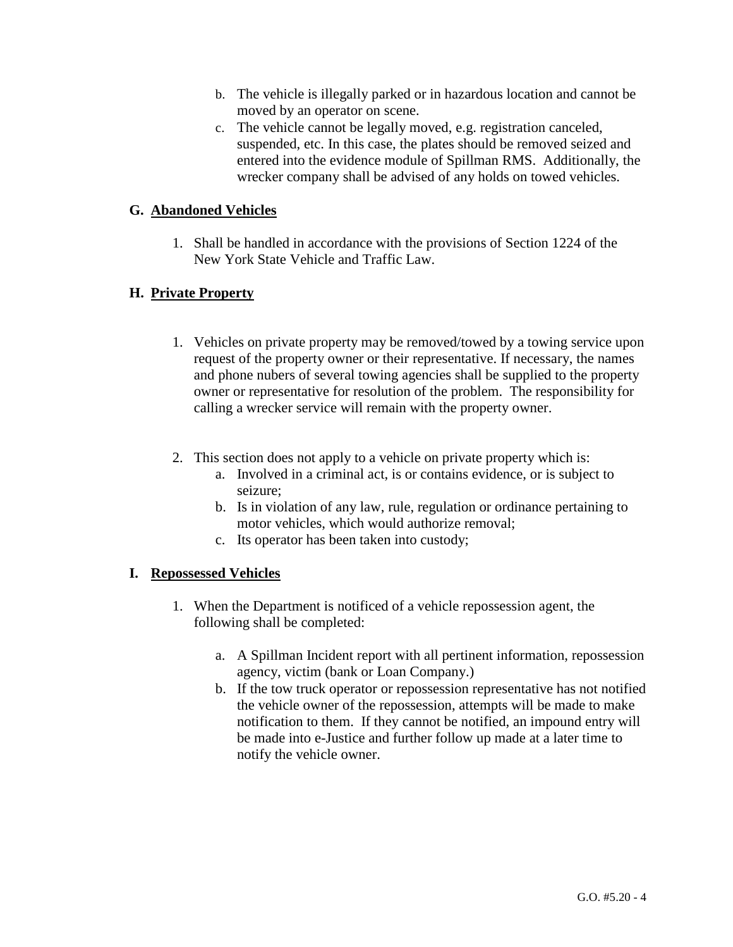- b. The vehicle is illegally parked or in hazardous location and cannot be moved by an operator on scene.
- c. The vehicle cannot be legally moved, e.g. registration canceled, suspended, etc. In this case, the plates should be removed seized and entered into the evidence module of Spillman RMS. Additionally, the wrecker company shall be advised of any holds on towed vehicles.

### **G. Abandoned Vehicles**

1. Shall be handled in accordance with the provisions of Section 1224 of the New York State Vehicle and Traffic Law.

### **H. Private Property**

- 1. Vehicles on private property may be removed/towed by a towing service upon request of the property owner or their representative. If necessary, the names and phone nubers of several towing agencies shall be supplied to the property owner or representative for resolution of the problem. The responsibility for calling a wrecker service will remain with the property owner.
- 2. This section does not apply to a vehicle on private property which is:
	- a. Involved in a criminal act, is or contains evidence, or is subject to seizure;
	- b. Is in violation of any law, rule, regulation or ordinance pertaining to motor vehicles, which would authorize removal;
	- c. Its operator has been taken into custody;

#### **I. Repossessed Vehicles**

- 1. When the Department is notificed of a vehicle repossession agent, the following shall be completed:
	- a. A Spillman Incident report with all pertinent information, repossession agency, victim (bank or Loan Company.)
	- b. If the tow truck operator or repossession representative has not notified the vehicle owner of the repossession, attempts will be made to make notification to them. If they cannot be notified, an impound entry will be made into e-Justice and further follow up made at a later time to notify the vehicle owner.